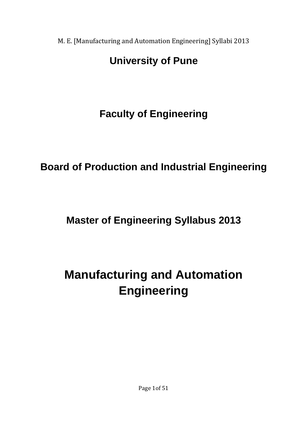# **University of Pune**

**Faculty of Engineering** 

**Board of Production and Industrial Engineering** 

**Master of Engineering Syllabus 2013** 

**Manufacturing and Automation Engineering** 

Page 1of 51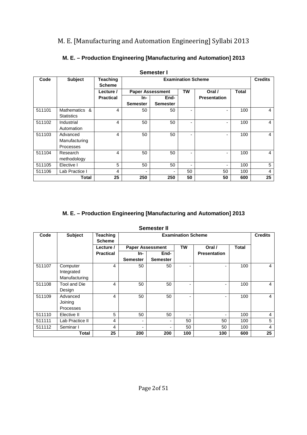| Semester I |                          |                           |                                                |          |    |                     |              |    |
|------------|--------------------------|---------------------------|------------------------------------------------|----------|----|---------------------|--------------|----|
| Code       | <b>Subject</b>           | Teaching<br><b>Scheme</b> | <b>Examination Scheme</b>                      |          |    |                     |              |    |
|            |                          | Lecture /                 | <b>TW</b><br><b>Paper Assessment</b><br>Oral / |          |    |                     | <b>Total</b> |    |
|            |                          | <b>Practical</b>          | In-                                            | End-     |    | <b>Presentation</b> |              |    |
|            |                          |                           | <b>Semester</b>                                | Semester |    |                     |              |    |
| 511101     | <b>Mathematics</b><br>୍ୟ | 4                         | 50                                             | 50       |    | ٠                   | 100          | 4  |
|            | <b>Statistics</b>        |                           |                                                |          |    |                     |              |    |
| 511102     | Industrial               | 4                         | 50                                             | 50       |    | ٠                   | 100          | 4  |
|            | Automation               |                           |                                                |          |    |                     |              |    |
| 511103     | Advanced                 | 4                         | 50                                             | 50       |    | ٠                   | 100          | 4  |
|            | Manufacturing            |                           |                                                |          |    |                     |              |    |
|            | Processes                |                           |                                                |          |    |                     |              |    |
| 511104     | Research                 | 4                         | 50                                             | 50       |    | ٠                   | 100          | 4  |
|            | methodology              |                           |                                                |          |    |                     |              |    |
| 511105     | Elective I               | 5                         | 50                                             | 50       |    | ٠                   | 100          | 5  |
| 511106     | Lab Practice I           | 4                         |                                                |          | 50 | 50                  | 100          | 4  |
|            | Total                    | 25                        | 250                                            | 250      | 50 | 50                  | 600          | 25 |

### **M. E. – Production Engineering [Manufacturing and Automation] 2013**

#### **M. E. – Production Engineering [Manufacturing and Automation] 2013**

| Semester II |  |
|-------------|--|
|-------------|--|

| Code   | <b>Subject</b>   | <b>Teaching</b><br><b>Scheme</b> | <b>Examination Scheme</b> |                 |                          |                     |              | <b>Credits</b> |
|--------|------------------|----------------------------------|---------------------------|-----------------|--------------------------|---------------------|--------------|----------------|
|        |                  | Lecture /                        | <b>Paper Assessment</b>   |                 | TW                       | Oral /              | <b>Total</b> |                |
|        |                  | <b>Practical</b>                 | In-                       | End-            |                          | <b>Presentation</b> |              |                |
|        |                  |                                  | <b>Semester</b>           | <b>Semester</b> |                          |                     |              |                |
| 511107 | Computer         | 4                                | 50                        | 50              | $\overline{\phantom{0}}$ |                     | 100          | 4              |
|        | Integrated       |                                  |                           |                 |                          |                     |              |                |
|        | Manufacturing    |                                  |                           |                 |                          |                     |              |                |
| 511108 | Tool and Die     | 4                                | 50                        | 50              |                          |                     | 100          | 4              |
|        | Design           |                                  |                           |                 |                          |                     |              |                |
| 511109 | Advanced         | 4                                | 50                        | 50              | ٠                        |                     | 100          | 4              |
|        | Joining          |                                  |                           |                 |                          |                     |              |                |
|        | <b>Processes</b> |                                  |                           |                 |                          |                     |              |                |
| 511110 | Elective II      | 5                                | 50                        | 50              | ۰                        |                     | 100          | 4              |
| 511111 | Lab Practice II  | 4                                | $\blacksquare$            | ٠               | 50                       | 50                  | 100          | 5              |
| 511112 | Seminar I        | 4                                |                           | ۰               | 50                       | 50                  | 100          | 4              |
| Total  |                  | 25                               | 200                       | 200             | 100                      | 100                 | 600          | 25             |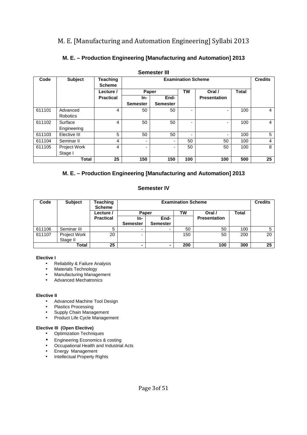| <b>Semester III</b> |                 |                                  |                           |                 |     |                          |              |    |  |
|---------------------|-----------------|----------------------------------|---------------------------|-----------------|-----|--------------------------|--------------|----|--|
| Code                | <b>Subject</b>  | <b>Teaching</b><br><b>Scheme</b> | <b>Examination Scheme</b> |                 |     |                          |              |    |  |
|                     |                 | Lecture /                        | Paper                     |                 | TW  | Oral /                   | <b>Total</b> |    |  |
|                     |                 | <b>Practical</b>                 | In-                       | End-            |     | <b>Presentation</b>      |              |    |  |
|                     |                 |                                  | <b>Semester</b>           | <b>Semester</b> |     |                          |              |    |  |
| 611101              | Advanced        | 4                                | 50                        | 50              |     | -                        | 100          | 4  |  |
|                     | <b>Robotics</b> |                                  |                           |                 |     |                          |              |    |  |
| 611102              | Surface         | 4                                | 50                        | 50              |     | ٠                        | 100          | 4  |  |
|                     | Engineering     |                                  |                           |                 |     |                          |              |    |  |
| 611103              | Elective III    | 5                                | 50                        | 50              |     | $\overline{\phantom{a}}$ | 100          | 5  |  |
| 611104              | Seminar II      | 4                                | ۰                         |                 | 50  | 50                       | 100          | 4  |  |
| 611105              | Project Work    | 4                                | Ξ.                        |                 | 50  | 50                       | 100          | 8  |  |
|                     | Stage I         |                                  |                           |                 |     |                          |              |    |  |
|                     | Total           | 25                               | 150                       | 150             | 100 | 100                      | 500          | 25 |  |

#### **M. E. – Production Engineering [Manufacturing and Automation] 2013**

#### **M. E. – Production Engineering [Manufacturing and Automation] 2013**

#### **Semester IV**

| Code   | <b>Subject</b> | Teaching<br><b>Scheme</b> | <b>Examination Scheme</b> |                 |     |                     |       |    |
|--------|----------------|---------------------------|---------------------------|-----------------|-----|---------------------|-------|----|
|        |                | Lecture /                 | TW<br><b>Paper</b>        |                 |     | Oral /              | Total |    |
|        |                | <b>Practical</b>          | In-                       | End-            |     | <b>Presentation</b> |       |    |
|        |                |                           | <b>Semester</b>           | <b>Semester</b> |     |                     |       |    |
| 611106 | Seminar III    | 5                         |                           |                 | 50  | 50                  | 100   |    |
| 611107 | Project Work   | 20                        | ۰.                        |                 | 150 | 50                  | 200   | 20 |
|        | Stage II       |                           |                           |                 |     |                     |       |    |
| Total  |                | 25                        |                           | ۰.              | 200 | 100                 | 300   | 25 |

#### **Elective I**

- Reliability & Failure Analysis
- Materials Technology
- Manufacturing Management
- Advanced Mechatronics

#### **Elective II**

- Advanced Machine Tool Design
- Plastics Processing
- Supply Chain Management
- Product Life Cycle Management

#### **Elective III (Open Elective)**

- Optimization Techniques
- Engineering Economics & costing
- Occupational Health and Industrial Acts
- Energy Management
- Intellectual Property Rights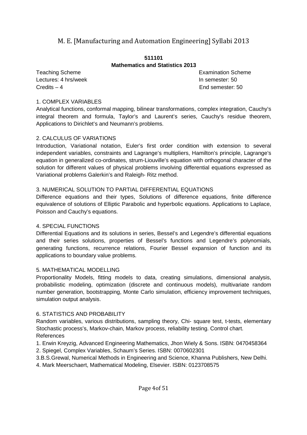#### **511101 Mathematics and Statistics 2013**

Lectures: 4 hrs/week **In semester: 50** Credits – 4 End semester: 50

Teaching Scheme **Examination** Scheme **Examination** Scheme

#### 1. COMPLEX VARIABLES

Analytical functions, conformal mapping, bilinear transformations, complex integration, Cauchy's integral theorem and formula, Taylor's and Laurent's series, Cauchy's residue theorem, Applications to Dirichlet's and Neumann's problems.

#### 2. CALCULUS OF VARIATIONS

Introduction, Variational notation, Euler's first order condition with extension to several independent variables, constraints and Lagrange's multipliers, Hamilton's principle, Lagrange's equation in generalized co-ordinates, strum-Liouville's equation with orthogonal character of the solution for different values of physical problems involving differential equations expressed as Variational problems Galerkin's and Raleigh- Ritz method.

#### 3. NUMERICAL SOLUTION TO PARTIAL DIFFERENTIAL EQUATIONS

Difference equations and their types, Solutions of difference equations, finite difference equivalence of solutions of Elliptic Parabolic and hyperbolic equations. Applications to Laplace, Poisson and Cauchy's equations.

#### 4. SPECIAL FUNCTIONS

Differential Equations and its solutions in series, Bessel's and Legendre's differential equations and their series solutions, properties of Bessel's functions and Legendre's polynomials, generating functions, recurrence relations, Fourier Bessel expansion of function and its applications to boundary value problems.

#### 5. MATHEMATICAL MODELLING

Proportionality Models, fitting models to data, creating simulations, dimensional analysis, probabilistic modeling, optimization (discrete and continuous models), multivariate random number generation, bootstrapping, Monte Carlo simulation, efficiency improvement techniques, simulation output analysis.

#### 6. STATISTICS AND PROBABILITY

Random variables, various distributions, sampling theory, Chi- square test, t-tests, elementary Stochastic process's, Markov-chain, Markov process, reliability testing. Control chart. References

- 1. Erwin Kreyzig, Advanced Engineering Mathematics, Jhon Wiely & Sons. ISBN: 0470458364
- 2. Spiegel, Complex Variables, Schaum's Series. ISBN: 0070602301

3.B.S.Grewal, Numerical Methods in Engineering and Science, Khanna Publishers, New Delhi.

4. Mark Meerschaert, Mathematical Modeling, Elsevier. ISBN: 0123708575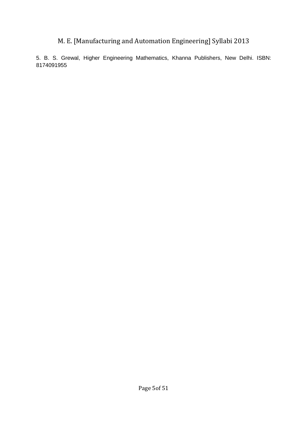5. B. S. Grewal, Higher Engineering Mathematics, Khanna Publishers, New Delhi. ISBN: 8174091955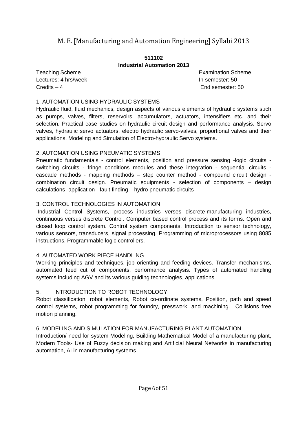#### **511102 Industrial Automation 2013**

Lectures: 4 hrs/week **In semester: 50** Credits – 4 End semester: 50

Teaching Scheme **Examination** Scheme

#### 1. AUTOMATION USING HYDRAULIC SYSTEMS

Hydraulic fluid, fluid mechanics, design aspects of various elements of hydraulic systems such as pumps, valves, filters, reservoirs, accumulators, actuators, intensifiers etc. and their selection. Practical case studies on hydraulic circuit design and performance analysis. Servo valves, hydraulic servo actuators, electro hydraulic servo-valves, proportional valves and their applications, Modeling and Simulation of Electro-hydraulic Servo systems.

#### 2. AUTOMATION USING PNEUMATIC SYSTEMS

Pneumatic fundamentals - control elements, position and pressure sensing -logic circuits switching circuits - fringe conditions modules and these integration - sequential circuits cascade methods - mapping methods – step counter method - compound circuit design combination circuit design. Pneumatic equipments - selection of components – design calculations -application - fault finding – hydro pneumatic circuits –

#### 3. CONTROL TECHNOLOGIES IN AUTOMATION

 Industrial Control Systems, process industries verses discrete-manufacturing industries, continuous versus discrete Control. Computer based control process and its forms. Open and closed loop control system. Control system components. Introduction to sensor technology, various sensors, transducers, signal processing. Programming of microprocessors using 8085 instructions. Programmable logic controllers.

#### 4. AUTOMATED WORK PIECE HANDLING

Working principles and techniques, job orienting and feeding devices. Transfer mechanisms, automated feed cut of components, performance analysis. Types of automated handling systems including AGV and its various guiding technologies, applications.

#### 5. INTRODUCTION TO ROBOT TECHNOLOGY

Robot classification, robot elements, Robot co-ordinate systems, Position, path and speed control systems, robot programming for foundry, presswork, and machining. Collisions free motion planning.

#### 6. MODELING AND SIMULATION FOR MANUFACTURING PLANT AUTOMATION

Introduction/ need for system Modeling, Building Mathematical Model of a manufacturing plant, Modern Tools- Use of Fuzzy decision making and Artificial Neural Networks in manufacturing automation, AI in manufacturing systems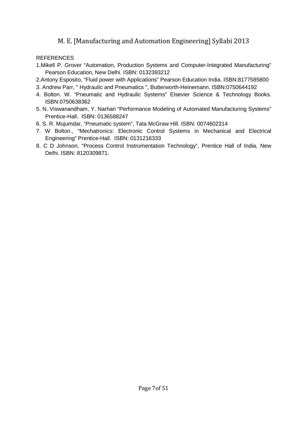- 1.Mikell P. Grover "Automation, Production Systems and Computer-Integrated Manufacturing" Pearson Education, New Delhi. ISBN: 0132393212
- 2.Antony Esposito, "Fluid power with Applications" Pearson Education India. ISBN:8177585800
- 3. Andrew Parr, " Hydraulic and Pneumatics ", Butterworth-Heinemann. ISBN:0750644192
- 4. Bolton. W. "Pneumatic and Hydraulic Systems" Elsevier Science & Technology Books. ISBN:0750638362
- 5. N. Viswanandham, Y. Narhari "Performance Modeling of Automated Manufacturing Systems" Prentice-Hall. ISBN: 0136588247
- 6. S. R. Mujumdar, "Pneumatic system", Tata McGraw Hill. ISBN: 0074602314
- 7. W Bolton., "Mechatronics: Electronic Control Systems in Mechanical and Electrical Engineering" Prentice-Hall. ISBN: 0131216333
- 8. C D Johnson, "Process Control Instrumentation Technology", Prentice Hall of India, New Delhi. ISBN: 8120309871.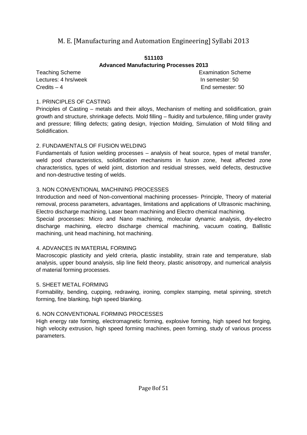#### **511103 Advanced Manufacturing Processes 2013**

Lectures: 4 hrs/week **In semester: 50** Credits – 4 End semester: 50

Teaching Scheme **Examination** Scheme **Examination** Scheme

#### 1. PRINCIPLES OF CASTING

Principles of Casting – metals and their alloys, Mechanism of melting and solidification, grain growth and structure, shrinkage defects. Mold filling – fluidity and turbulence, filling under gravity and pressure; filling defects; gating design, Injection Molding, Simulation of Mold filling and Solidification.

#### 2. FUNDAMENTALS OF FUSION WELDING

Fundamentals of fusion welding processes – analysis of heat source, types of metal transfer, weld pool characteristics, solidification mechanisms in fusion zone, heat affected zone characteristics, types of weld joint, distortion and residual stresses, weld defects, destructive and non-destructive testing of welds.

#### 3. NON CONVENTIONAL MACHINING PROCESSES

Introduction and need of Non-conventional machining processes- Principle, Theory of material removal, process parameters, advantages, limitations and applications of Ultrasonic machining, Electro discharge machining, Laser beam machining and Electro chemical machining.

Special processes: Micro and Nano machining, molecular dynamic analysis, dry-electro discharge machining, electro discharge chemical machining, vacuum coating, Ballistic machining, unit head machining, hot machining.

#### 4. ADVANCES IN MATERIAL FORMING

Macroscopic plasticity and yield criteria, plastic instability, strain rate and temperature, slab analysis, upper bound analysis, slip line field theory, plastic anisotropy, and numerical analysis of material forming processes.

#### 5. SHEET METAL FORMING

Formability, bending, cupping, redrawing, ironing, complex stamping, metal spinning, stretch forming, fine blanking, high speed blanking.

#### 6. NON CONVENTIONAL FORMING PROCESSES

High energy rate forming, electromagnetic forming, explosive forming, high speed hot forging, high velocity extrusion, high speed forming machines, peen forming, study of various process parameters.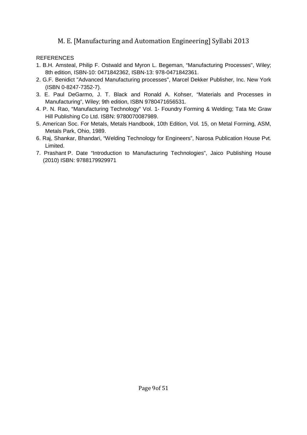- 1. B.H. Amsteal, Philip F. Ostwald and Myron L. Begeman, "Manufacturing Processes", Wiley; 8th edition, ISBN-10: 0471842362, ISBN-13: 978-0471842361.
- 2. G.F. Benidict "Advanced Manufacturing processes", Marcel Dekker Publisher, Inc. New York (ISBN 0-8247-7352-7).
- 3. E. Paul DeGarmo, J. T. Black and Ronald A. Kohser, "Materials and Processes in Manufacturing", Wiley; 9th edition, ISBN 9780471656531.
- 4. P. N. Rao, "Manufacturing Technology" Vol. 1- Foundry Forming & Welding; Tata Mc Graw Hill Publishing Co Ltd. ISBN: 9780070087989.
- 5. American Soc. For Metals, Metals Handbook, 10th Edition, Vol. 15, on Metal Forming, ASM, Metals Park, Ohio, 1989.
- 6. Raj, Shankar, Bhandari, "Welding Technology for Engineers", Narosa Publication House Pvt. Limited.
- 7. Prashant P. Date "Introduction to Manufacturing Technologies", Jaico Publishing House (2010) ISBN: 9788179929971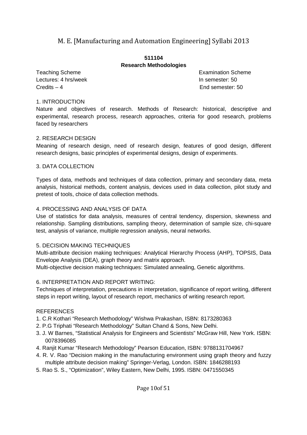#### **511104 Research Methodologies**

Lectures: 4 hrs/week **In semester: 50** Credits – 4 End semester: 50

Teaching Scheme **Examination** Scheme **Examination** Scheme

#### 1. INTRODUCTION

Nature and objectives of research. Methods of Research: historical, descriptive and experimental, research process, research approaches, criteria for good research, problems faced by researchers

#### 2. RESEARCH DESIGN

Meaning of research design, need of research design, features of good design, different research designs, basic principles of experimental designs, design of experiments.

#### 3. DATA COLLECTION

Types of data, methods and techniques of data collection, primary and secondary data, meta analysis, historical methods, content analysis, devices used in data collection, pilot study and pretest of tools, choice of data collection methods.

#### 4. PROCESSING AND ANALYSIS OF DATA

Use of statistics for data analysis, measures of central tendency, dispersion, skewness and relationship. Sampling distributions, sampling theory, determination of sample size, chi-square test, analysis of variance, multiple regression analysis, neural networks.

#### 5. DECISION MAKING TECHNIQUES

Multi-attribute decision making techniques: Analytical Hierarchy Process (AHP), TOPSIS, Data Envelope Analysis (DEA), graph theory and matrix approach.

Multi-objective decision making techniques: Simulated annealing, Genetic algorithms.

#### 6. INTERPRETATION AND REPORT WRITING:

Techniques of interpretation, precautions in interpretation, significance of report writing, different steps in report writing, layout of research report, mechanics of writing research report.

- 1. C.R Kothari "Research Methodology" Wishwa Prakashan, ISBN: 8173280363
- 2. P.G Triphati "Research Methodology" Sultan Chand & Sons, New Delhi.
- 3. J. W Barnes, "Statistical Analysis for Engineers and Scientists" McGraw Hill, New York. ISBN: 0078396085
- 4. Ranjit Kumar "Research Methodology" Pearson Education, ISBN: 9788131704967
- 4. R. V. Rao "Decision making in the manufacturing environment using graph theory and fuzzy multiple attribute decision making" Springer-Verlag, London. ISBN: 1846288193
- 5. Rao S. S., "Optimization", Wiley Eastern, New Delhi, 1995. ISBN: 0471550345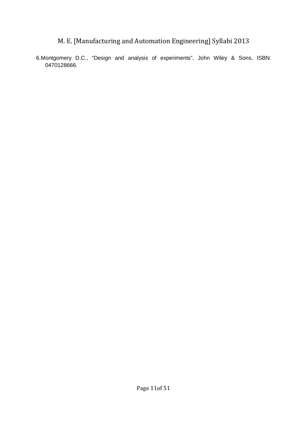6.Montgomery D.C., "Design and analysis of experiments", John Wiley & Sons, ISBN: 0470128666.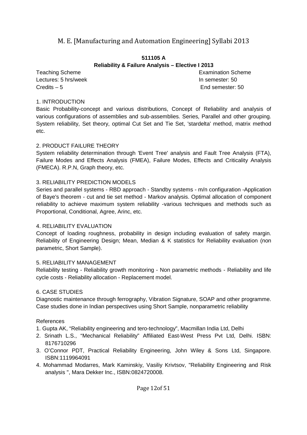#### **511105 A Reliability & Failure Analysis – Elective I 2013**

Lectures: 5 hrs/week **In semester: 50** Credits – 5 End semester: 50

Teaching Scheme **Examination** Scheme **Examination** Scheme

#### 1. INTRODUCTION

Basic Probability-concept and various distributions, Concept of Reliability and analysis of various configurations of assemblies and sub-assemblies. Series, Parallel and other grouping. System reliability, Set theory, optimal Cut Set and Tie Set, 'stardelta' method, matrix method etc.

#### 2. PRODUCT FAILURE THEORY

System reliability determination through 'Event Tree' analysis and Fault Tree Analysis (FTA), Failure Modes and Effects Analysis (FMEA), Failure Modes, Effects and Criticality Analysis (FMECA). R.P.N, Graph theory, etc.

#### 3. RELIABILITY PREDICTION MODELS

Series and parallel systems - RBD approach - Standby systems - m/n configuration -Application of Baye's theorem - cut and tie set method - Markov analysis. Optimal allocation of component reliability to achieve maximum system reliability -various techniques and methods such as Proportional, Conditional, Agree, Arinc, etc.

#### 4. RELIABILITY EVALUATION

Concept of loading roughness, probability in design including evaluation of safety margin. Reliability of Engineering Design; Mean, Median & K statistics for Reliability evaluation (non parametric, Short Sample).

#### 5. RELIABILITY MANAGEMENT

Reliability testing - Reliability growth monitoring - Non parametric methods - Reliability and life cycle costs - Reliability allocation - Replacement model.

#### 6. CASE STUDIES

Diagnostic maintenance through ferrography, Vibration Signature, SOAP and other programme. Case studies done in Indian perspectives using Short Sample, nonparametric reliability

#### References

- 1. Gupta AK, "Reliability engineering and tero-technology", Macmillan India Ltd, Delhi
- 2. Srinath L.S., "Mechanical Reliability" Affiliated East-West Press Pvt Ltd, Delhi. ISBN: 8176710296
- 3. O'Connor PDT, Practical Reliability Engineering, John Wiley & Sons Ltd, Singapore. ISBN:1119964091
- 4. Mohammad Modarres, Mark Kaminskiy, Vasiliy Krivtsov, "Reliability Engineering and Risk analysis ", Mara Dekker Inc., ISBN:0824720008.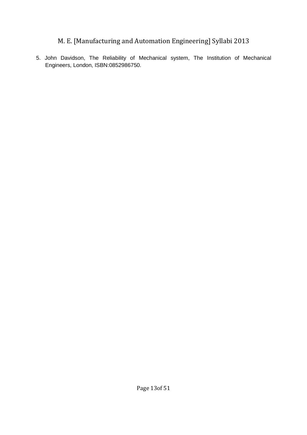5. John Davidson, The Reliability of Mechanical system, The Institution of Mechanical Engineers, London, ISBN:0852986750.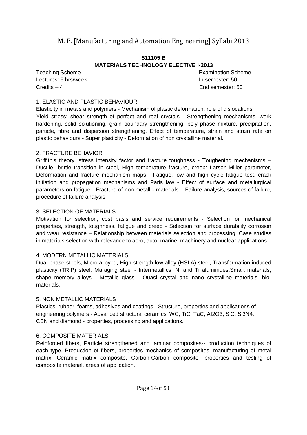#### **511105 B MATERIALS TECHNOLOGY ELECTIVE I-2013**

Lectures: 5 hrs/week **In semester: 50** Credits – 4 End semester: 50

Teaching Scheme **Examination** Scheme

#### 1. ELASTIC AND PLASTIC BEHAVIOUR

Elasticity in metals and polymers - Mechanism of plastic deformation, role of dislocations, Yield stress; shear strength of perfect and real crystals - Strengthening mechanisms, work hardening, solid solutioning, grain boundary strengthening, poly phase mixture, precipitation, particle, fibre and dispersion strengthening. Effect of temperature, strain and strain rate on plastic behaviours - Super plasticity - Deformation of non crystalline material.

#### 2. FRACTURE BEHAVIOR

Griffith's theory, stress intensity factor and fracture toughness - Toughening mechanisms – Ductile- brittle transition in steel, High temperature fracture, creep: Larson-Miller parameter, Deformation and fracture mechanism maps - Fatigue, low and high cycle fatigue test, crack initiation and propagation mechanisms and Paris law - Effect of surface and metallurgical parameters on fatigue - Fracture of non metallic materials – Failure analysis, sources of failure, procedure of failure analysis.

#### 3. SELECTION OF MATERIALS

Motivation for selection, cost basis and service requirements - Selection for mechanical properties, strength, toughness, fatigue and creep - Selection for surface durability corrosion and wear resistance – Relationship between materials selection and processing, Case studies in materials selection with relevance to aero, auto, marine, machinery and nuclear applications.

#### 4. MODERN METALLIC MATERIALS

Dual phase steels, Micro alloyed, High strength low alloy (HSLA) steel, Transformation induced plasticity (TRIP) steel, Maraging steel - Intermetallics, Ni and Ti aluminides,Smart materials, shape memory alloys - Metallic glass - Quasi crystal and nano crystalline materials, biomaterials.

#### 5. NON METALLIC MATERIALS

Plastics, rubber, foams, adhesives and coatings - Structure, properties and applications of engineering polymers - Advanced structural ceramics, WC, TiC, TaC, AI2O3, SiC, Si3N4, CBN and diamond - properties, processing and applications.

#### 6. COMPOSITE MATERIALS

Reinforced fibers, Particle strengthened and laminar composites-- production techniques of each type, Production of fibers, properties mechanics of composites, manufacturing of metal matrix, Ceramic matrix composite, Carbon-Carbon composite- properties and testing of composite material, areas of application.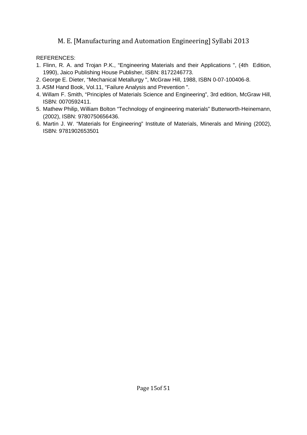- 1. Flinn, R. A. and Trojan P.K., "Engineering Materials and their Applications ", (4th Edition, 1990), Jaico Publishing House Publisher, ISBN: 8172246773.
- 2. George E. Dieter, "Mechanical Metallurgy ", McGraw Hill, 1988, ISBN 0-07-100406-8.
- 3. ASM Hand Book, Vol.11, "Failure Analysis and Prevention ".
- 4. Willam F. Smith, "Principles of Materials Science and Engineering", 3rd edition, McGraw Hill, ISBN: 0070592411.
- 5. Mathew Philip, William Bolton "Technology of engineering materials" Butterworth-Heinemann, (2002), ISBN: 9780750656436.
- 6. Martin J. W. "Materials for Engineering" Institute of Materials, Minerals and Mining (2002), ISBN: 9781902653501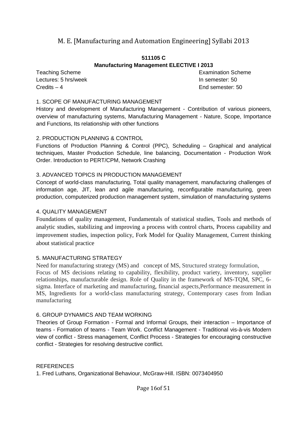#### **511105 C**

#### **Manufacturing Management ELECTIVE I 2013**

Lectures: 5 hrs/week **In semester: 50** Credits – 4 End semester: 50

Teaching Scheme **Examination** Scheme **Examination** Scheme

#### 1. SCOPE OF MANUFACTURING MANAGEMENT

History and development of Manufacturing Management - Contribution of various pioneers, overview of manufacturing systems, Manufacturing Management - Nature, Scope, Importance and Functions, Its relationship with other functions

#### 2. PRODUCTION PLANNING & CONTROL

Functions of Production Planning & Control (PPC), Scheduling – Graphical and analytical techniques, Master Production Schedule, line balancing, Documentation - Production Work Order. Introduction to PERT/CPM, Network Crashing

#### 3. ADVANCED TOPICS IN PRODUCTION MANAGEMENT

Concept of world-class manufacturing, Total quality management, manufacturing challenges of information age, JIT, lean and agile manufacturing, reconfigurable manufacturing, green production, computerized production management system, simulation of manufacturing systems

#### 4. QUALITY MANAGEMENT

Foundations of quality management, Fundamentals of statistical studies, Tools and methods of analytic studies, stabilizing and improving a process with control charts, Process capability and improvement studies, inspection policy, Fork Model for Quality Management, Current thinking about statistical practice

#### 5. MANUFACTURING STRATEGY

Need for manufacturing strategy (MS) and concept of MS, Structured strategy formulation, Focus of MS decisions relating to capability, flexibility, product variety, inventory, supplier relationships, manufacturable design. Role of Quality in the framework of MS-TQM, SPC, 6 sigma. Interface of marketing and manufacturing, financial aspects,Performance measurement in MS, Ingredients for a world-class manufacturing strategy, Contemporary cases from Indian manufacturing

#### 6. GROUP DYNAMICS AND TEAM WORKING

Theories of Group Formation - Formal and Informal Groups, their interaction – Importance of teams - Formation of teams - Team Work. Conflict Management - Traditional vis-à-vis Modern view of conflict - Stress management, Conflict Process - Strategies for encouraging constructive conflict - Strategies for resolving destructive conflict.

#### REFERENCES

1. Fred Luthans, Organizational Behaviour, McGraw-Hill. ISBN: 0073404950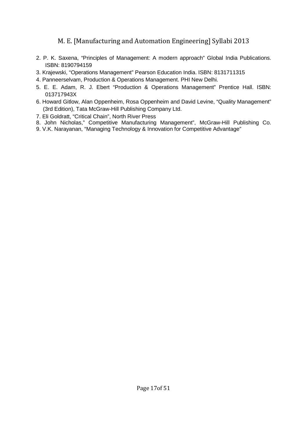- 2. P. K. Saxena, "Principles of Management: A modern approach" Global India Publications. ISBN: 8190794159
- 3. Krajewski, "Operations Management" Pearson Education India. ISBN: 8131711315
- 4. Panneerselvam, Production & Operations Management. PHI New Delhi.
- 5. E. E. Adam, R. J. Ebert "Production & Operations Management" Prentice Hall. ISBN: 013717943X
- 6. Howard Gitlow, Alan Oppenheim, Rosa Oppenheim and David Levine, "Quality Management" (3rd Edition), Tata McGraw-Hill Publishing Company Ltd.
- 7. Eli Goldratt, "Critical Chain", North River Press
- 8. John Nicholas," Competitive Manufacturing Management", McGraw-Hill Publishing Co.
- 9. V.K. Narayanan, "Managing Technology & Innovation for Competitive Advantage"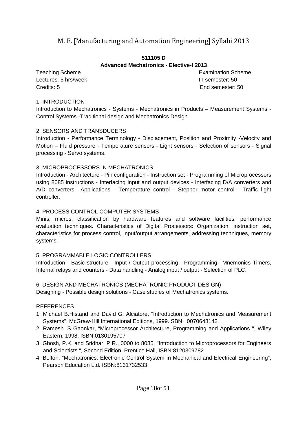#### **511105 D Advanced Mechatronics - Elective-I 2013**

Lectures: 5 hrs/week **In semester: 50** Credits: 5 End semester: 50

Teaching Scheme **Examination** Scheme **Examination** Scheme

#### 1. INTRODUCTION

Introduction to Mechatronics - Systems - Mechatronics in Products – Measurement Systems - Control Systems -Traditional design and Mechatronics Design.

#### 2. SENSORS AND TRANSDUCERS

Introduction - Performance Terminology - Displacement, Position and Proximity -Velocity and Motion – Fluid pressure - Temperature sensors - Light sensors - Selection of sensors - Signal processing - Servo systems.

#### 3. MICROPROCESSORS IN MECHATRONICS

Introduction - Architecture - Pin configuration - Instruction set - Programming of Microprocessors using 8085 instructions - Interfacing input and output devices - Interfacing D/A converters and A/D converters –Applications - Temperature control - Stepper motor control - Traffic light controller.

#### 4. PROCESS CONTROL COMPUTER SYSTEMS

Minis, micros, classification by hardware features and software facilities, performance evaluation techniques. Characteristics of Digital Processors: Organization, instruction set, characteristics for process control, input/output arrangements, addressing techniques, memory systems.

#### 5. PROGRAMMABLE LOGIC CONTROLLERS

Introduction - Basic structure - Input / Output processing - Programming –Mnemonics Timers, Internal relays and counters - Data handling - Analog input / output - Selection of PLC.

6. DESIGN AND MECHATRONICS (MECHATRONIC PRODUCT DESIGN)

Designing - Possible design solutions - Case studies of Mechatronics systems.

- 1. Michael B.Histand and David G. Alciatore, "Introduction to Mechatronics and Measurement Systems", McGraw-Hill International Editions, 1999.ISBN: 0070648142
- 2. Ramesh. S Gaonkar, "Microprocessor Architecture, Programming and Applications ", Wiley Eastern, 1998. ISBN:0130195707
- 3. Ghosh, P.K. and Sridhar, P.R., 0000 to 8085, "Introduction to Microprocessors for Engineers and Scientists ", Second Edition, Prentice Hall, ISBN:8120309782
- 4. Bolton, "Mechatronics: Electronic Control System in Mechanical and Electrical Engineering", Pearson Education Ltd. ISBN:8131732533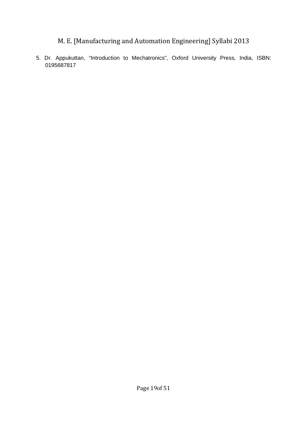5. Dr. Appukuttan, "Introduction to Mechatronics", Oxford University Press, India, ISBN: 0195687817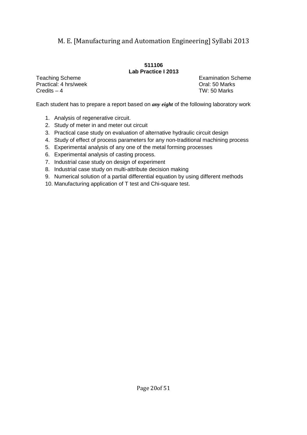#### **511106 Lab Practice I 2013**

Practical: 4 hrs/week **Dramactical: 4 hrs/week** Oral: 50 Marks Credits – 4 TW: 50 Marks

Teaching Scheme **Examination** Scheme

Each student has to prepare a report based on *any eight* of the following laboratory work

- 1. Analysis of regenerative circuit.
- 2. Study of meter in and meter out circuit
- 3. Practical case study on evaluation of alternative hydraulic circuit design
- 4. Study of effect of process parameters for any non-traditional machining process
- 5. Experimental analysis of any one of the metal forming processes
- 6. Experimental analysis of casting process.
- 7. Industrial case study on design of experiment
- 8. Industrial case study on multi-attribute decision making
- 9. Numerical solution of a partial differential equation by using different methods
- 10. Manufacturing application of T test and Chi-square test.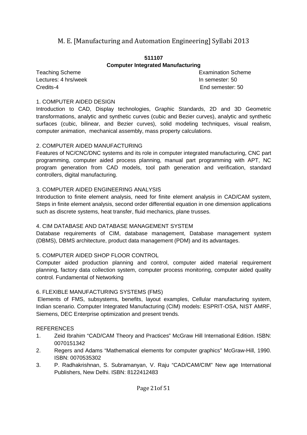#### **511107 Computer Integrated Manufacturing**

Lectures: 4 hrs/week **In semester: 50** Credits-4 End semester: 50

Teaching Scheme **Examination** Scheme

#### 1. COMPUTER AIDED DESIGN

Introduction to CAD, Display technologies, Graphic Standards, 2D and 3D Geometric transformations, analytic and synthetic curves (cubic and Bezier curves), analytic and synthetic surfaces (cubic, bilinear, and Bezier curves), solid modeling techniques, visual realism, computer animation, mechanical assembly, mass property calculations.

#### 2. COMPUTER AIDED MANUFACTURING

Features of NC/CNC/DNC systems and its role in computer integrated manufacturing, CNC part programming, computer aided process planning, manual part programming with APT, NC program generation from CAD models, tool path generation and verification, standard controllers, digital manufacturing.

#### 3. COMPUTER AIDED ENGINEERING ANALYSIS

Introduction to finite element analysis, need for finite element analysis in CAD/CAM system, Steps in finite element analysis, second order differential equation in one dimension applications such as discrete systems, heat transfer, fluid mechanics, plane trusses.

#### 4. CIM DATABASE AND DATABASE MANAGEMENT SYSTEM

Database requirements of CIM, database management, Database management system (DBMS), DBMS architecture, product data management (PDM) and its advantages.

#### 5. COMPUTER AIDED SHOP FLOOR CONTROL

Computer aided production planning and control, computer aided material requirement planning, factory data collection system, computer process monitoring, computer aided quality control. Fundamental of Networking

#### 6. FLEXIBLE MANUFACTURING SYSTEMS (FMS)

 Elements of FMS, subsystems, benefits, layout examples, Cellular manufacturing system, Indian scenario. Computer Integrated Manufacturing (CIM) models: ESPRIT-OSA, NIST AMRF, Siemens, DEC Enterprise optimization and present trends.

- 1. Zeid Ibrahim "CAD/CAM Theory and Practices" McGraw Hill International Edition. ISBN: 0070151342
- 2. Regers and Adams "Mathematical elements for computer graphics" McGraw-Hill, 1990. ISBN: 0070535302
- 3. P. Radhakrishnan, S. Subramanyan, V. Raju "CAD/CAM/CIM" New age International Publishers, New Delhi. ISBN: 8122412483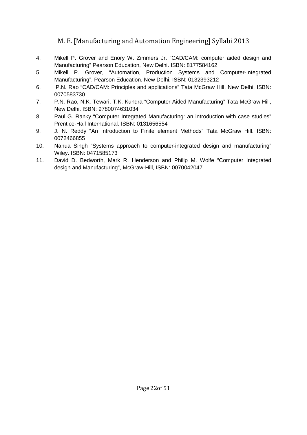- 4. Mikell P. Grover and Enory W. Zimmers Jr. "CAD/CAM: computer aided design and Manufacturing" Pearson Education, New Delhi. ISBN: 8177584162
- 5. Mikell P. Grover, "Automation, Production Systems and Computer-Integrated Manufacturing", Pearson Education, New Delhi. ISBN: 0132393212
- 6. P.N. Rao "CAD/CAM: Principles and applications" Tata McGraw Hill, New Delhi. ISBN: 0070583730
- 7. P.N. Rao, N.K. Tewari, T.K. Kundra "Computer Aided Manufacturing" Tata McGraw Hill, New Delhi. ISBN: 9780074631034
- 8. Paul G. Ranky "Computer Integrated Manufacturing: an introduction with case studies" Prentice-Hall International. ISBN: 0131656554
- 9. J. N. Reddy "An Introduction to Finite element Methods" Tata McGraw Hill. ISBN: 0072466855
- 10. Nanua Singh "Systems approach to computer-integrated design and manufacturing" Wiley. ISBN: 0471585173
- 11. David D. Bedworth, Mark R. Henderson and Philip M. Wolfe "Computer Integrated design and Manufacturing", McGraw-Hill, ISBN: 0070042047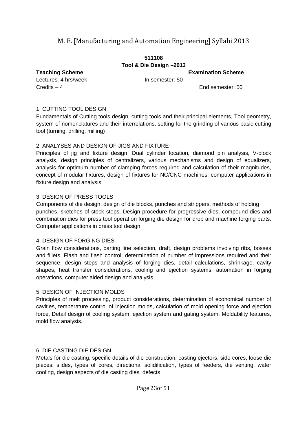#### **511108 Tool & Die Design –2013**

**Teaching Scheme Examination Scheme** 

Lectures: 4 hrs/week In semester: 50 Credits – 4 End semester: 50

#### 1. CUTTING TOOL DESIGN

Fundamentals of Cutting tools design, cutting tools and their principal elements, Tool geometry, system of nomenclatures and their interrelations, setting for the grinding of various basic cutting tool (turning, drilling, milling)

#### 2. ANALYSES AND DESIGN OF JIGS AND FIXTURE

Principles of jig and fixture design, Dual cylinder location, diamond pin analysis, V-block analysis, design principles of centralizers, various mechanisms and design of equalizers, analysis for optimum number of clamping forces required and calculation of their magnitudes, concept of modular fixtures, design of fixtures for NC/CNC machines, computer applications in fixture design and analysis.

#### 3. DESIGN OF PRESS TOOLS

Components of die design, design of die blocks, punches and strippers, methods of holding punches, sketches of stock stops, Design procedure for progressive dies, compound dies and combination dies for press tool operation forging die design for drop and machine forging parts. Computer applications in press tool design.

#### 4. DESIGN OF FORGING DIES

Grain flow considerations, parting line selection, draft, design problems involving ribs, bosses and fillets. Flash and flash control, determination of number of impressions required and their sequence, design steps and analysis of forging dies, detail calculations, shrinkage, cavity shapes, heat transfer considerations, cooling and ejection systems, automation in forging operations, computer aided design and analysis.

#### 5. DESIGN OF INJECTION MOLDS

Principles of melt processing, product considerations, determination of economical number of cavities, temperature control of injection molds, calculation of mold opening force and ejection force. Detail design of cooling system, ejection system and gating system. Moldability features, mold flow analysis.

#### 6. DIE CASTING DIE DESIGN

Metals for die casting, specific details of die construction, casting ejectors, side cores, loose die pieces, slides, types of cores, directional solidification, types of feeders, die venting, water cooling, design aspects of die casting dies, defects.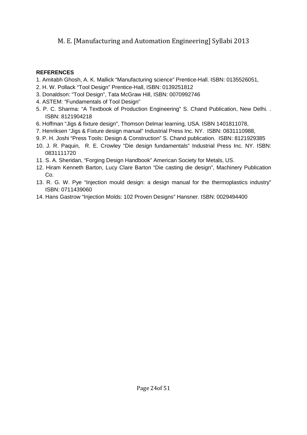- 1. Amitabh Ghosh, A. K. Mallick "Manufacturing science" Prentice-Hall. ISBN: 0135526051,
- 2. H. W. Pollack "Tool Design" Prentice-Hall, ISBN: 0139251812
- 3. Donaldson: "Tool Design", Tata McGraw Hill, ISBN: 0070992746
- 4. ASTEM: "Fundamentals of Tool Design"
- 5. P. C. Sharma: "A Textbook of Production Engineering" S. Chand Publication, New Delhi. . ISBN: 8121904218
- 6. Hoffman "Jigs & fixture design", Thomson Delmar learning, USA. ISBN 1401811078,
- 7. Henriksen "Jigs & Fixture design manual" Industrial Press Inc. NY. ISBN: 0831110988,
- 9. P. H. Joshi "Press Tools: Design & Construction" S. Chand publication. ISBN: 8121929385
- 10. J. R. Paquin, R. E. Crowley "Die design fundamentals" Industrial Press Inc. NY. ISBN: 0831111720
- 11. S. A. Sheridan, "Forging Design Handbook" American Society for Metals, US.
- 12. Hiram Kenneth Barton, Lucy Clare Barton "Die casting die design", Machinery Publication Co.
- 13. R. G. W. Pye "Injection mould design: a design manual for the thermoplastics industry" ISBN: 0711439060
- 14. Hans Gastrow "Injection Molds: 102 Proven Designs" Hansner. ISBN: 0029494400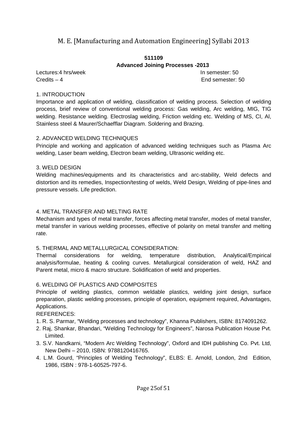#### **511109 Advanced Joining Processes -2013**

Lectures:4 hrs/week **In semester:** 50 Credits – 4 End semester: 50

#### 1. INTRODUCTION

Importance and application of welding, classification of welding process. Selection of welding process, brief review of conventional welding process: Gas welding, Arc welding, MIG, TIG welding. Resistance welding. Electroslag welding, Friction welding etc. Welding of MS, CI, Al, Stainless steel & Maurer/Schaefflar Diagram. Soldering and Brazing.

#### 2. ADVANCED WELDING TECHNIQUES

Principle and working and application of advanced welding techniques such as Plasma Arc welding, Laser beam welding, Electron beam welding, Ultrasonic welding etc.

#### 3. WELD DESIGN

Welding machines/equipments and its characteristics and arc-stability, Weld defects and distortion and its remedies, Inspection/testing of welds, Weld Design, Welding of pipe-lines and pressure vessels. Life prediction.

#### 4. METAL TRANSFER AND MELTING RATE

Mechanism and types of metal transfer, forces affecting metal transfer, modes of metal transfer, metal transfer in various welding processes, effective of polarity on metal transfer and melting rate.

#### 5. THERMAL AND METALLURGICAL CONSIDERATION:

Thermal considerations for welding, temperature distribution, Analytical/Empirical analysis/formulae, heating & cooling curves. Metallurgical consideration of weld, HAZ and Parent metal, micro & macro structure. Solidification of weld and properties.

#### 6. WELDING OF PLASTICS AND COMPOSITES

Principle of welding plastics, common weldable plastics, welding joint design, surface preparation, plastic welding processes, principle of operation, equipment required, Advantages, Applications.

- 1. R. S. Parmar, "Welding processes and technology", Khanna Publishers, ISBN: 8174091262.
- 2. Raj, Shankar, Bhandari, "Welding Technology for Engineers", Narosa Publication House Pvt. Limited.
- 3. S.V. Nandkarni, "Modern Arc Welding Technology", Oxford and IDH publishing Co. Pvt. Ltd, New Delhi – 2010, ISBN: 9788120416765.
- 4. L.M. Gourd, "Principles of Welding Technology", ELBS: E. Arnold, London, 2nd Edition, 1986, ISBN : 978-1-60525-797-6.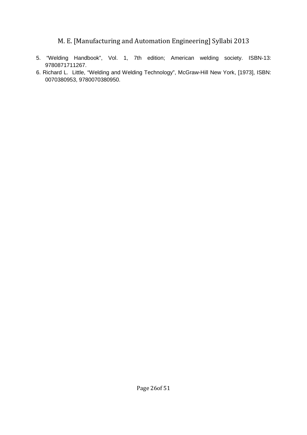- 5. "Welding Handbook", Vol. 1, 7th edition; American welding society. ISBN-13: 9780871711267.
- 6. Richard L. Little, "Welding and Welding Technology", McGraw-Hill New York, [1973], ISBN: 0070380953, 9780070380950.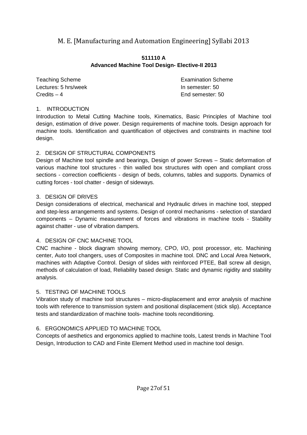#### **511110 A Advanced Machine Tool Design- Elective-II 2013**

Teaching Scheme **Examination** Scheme **Examination** Scheme Lectures: 5 hrs/week In semester: 50 Credits – 4 End semester: 50

#### 1. INTRODUCTION

Introduction to Metal Cutting Machine tools, Kinematics, Basic Principles of Machine tool design, estimation of drive power. Design requirements of machine tools. Design approach for machine tools. Identification and quantification of objectives and constraints in machine tool design.

#### 2. DESIGN OF STRUCTURAL COMPONENTS

Design of Machine tool spindle and bearings, Design of power Screws – Static deformation of various machine tool structures - thin walled box structures with open and compliant cross sections - correction coefficients - design of beds, columns, tables and supports. Dynamics of cutting forces - tool chatter - design of sideways.

#### 3. DESIGN OF DRIVES

Design considerations of electrical, mechanical and Hydraulic drives in machine tool, stepped and step-less arrangements and systems. Design of control mechanisms - selection of standard components – Dynamic measurement of forces and vibrations in machine tools - Stability against chatter - use of vibration dampers.

#### 4. DESIGN OF CNC MACHINE TOOL

CNC machine - block diagram showing memory, CPO, I/O, post processor, etc. Machining center, Auto tool changers, uses of Composites in machine tool. DNC and Local Area Network, machines with Adaptive Control. Design of slides with reinforced PTEE, Ball screw all design, methods of calculation of load, Reliability based design. Static and dynamic rigidity and stability analysis.

### 5. TESTING OF MACHINE TOOLS

Vibration study of machine tool structures – micro-displacement and error analysis of machine tools with reference to transmission system and positional displacement (stick slip). Acceptance tests and standardization of machine tools- machine tools reconditioning.

### 6. ERGONOMICS APPLIED TO MACHINE TOOL

Concepts of aesthetics and ergonomics applied to machine tools, Latest trends in Machine Tool Design, Introduction to CAD and Finite Element Method used in machine tool design.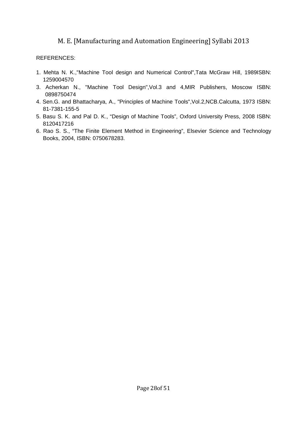- 1. Mehta N. K.,"Machine Tool design and Numerical Control",Tata McGraw Hill, 1989ISBN: 1259004570
- 3. Acherkan N., "Machine Tool Design",Vol.3 and 4,MIR Publishers, Moscow ISBN: 0898750474
- 4. Sen.G. and Bhattacharya, A., "Principles of Machine Tools",Vol.2,NCB.Calcutta, 1973 ISBN: 81-7381-155-5
- 5. Basu S. K. and Pal D. K., "Design of Machine Tools", Oxford University Press, 2008 ISBN: 8120417216
- 6. Rao S. S., "The Finite Element Method in Engineering", Elsevier Science and Technology Books, 2004, ISBN: 0750678283.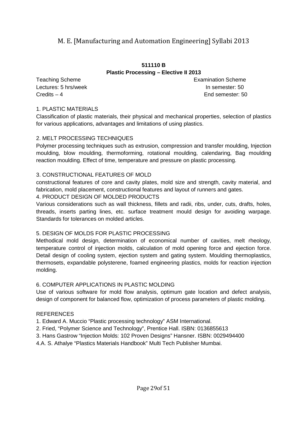#### **511110 B Plastic Processing – Elective II 2013**

Teaching Scheme **Examination** Scheme **Examination** Scheme Lectures: 5 hrs/week **In semester: 50** Credits – 4 End semester: 50

#### 1. PLASTIC MATERIALS

Classification of plastic materials, their physical and mechanical properties, selection of plastics for various applications, advantages and limitations of using plastics.

#### 2. MELT PROCESSING TECHNIQUES

Polymer processing techniques such as extrusion, compression and transfer moulding, Injection moulding, blow moulding, thermoforming, rotational moulding, calendaring, Bag moulding reaction moulding. Effect of time, temperature and pressure on plastic processing.

#### 3. CONSTRUCTIONAL FEATURES OF MOLD

constructional features of core and cavity plates, mold size and strength, cavity material, and fabrication, mold placement, constructional features and layout of runners and gates.

#### 4. PRODUCT DESIGN OF MOLDED PRODUCTS

Various considerations such as wall thickness, fillets and radii, ribs, under, cuts, drafts, holes, threads, inserts parting lines, etc. surface treatment mould design for avoiding warpage. Standards for tolerances on molded articles.

#### 5. DESIGN OF MOLDS FOR PLASTIC PROCESSING

Methodical mold design, determination of economical number of cavities, melt rheology, temperature control of injection molds, calculation of mold opening force and ejection force. Detail design of cooling system, ejection system and gating system. Moulding thermoplastics, thermosets, expandable polysterene, foamed engineering plastics, molds for reaction injection molding.

#### 6. COMPUTER APPLICATIONS IN PLASTIC MOLDING

Use of various software for mold flow analysis, optimum gate location and defect analysis, design of component for balanced flow, optimization of process parameters of plastic molding.

#### REFERENCES

1. Edward A. Muccio "Plastic processing technology" ASM International.

- 2. Fried, "Polymer Science and Technology", Prentice Hall. ISBN: 0136855613
- 3. Hans Gastrow "Injection Molds: 102 Proven Designs" Hansner. ISBN: 0029494400
- 4.A. S. Athalye "Plastics Materials Handbook" Multi Tech Publisher Mumbai.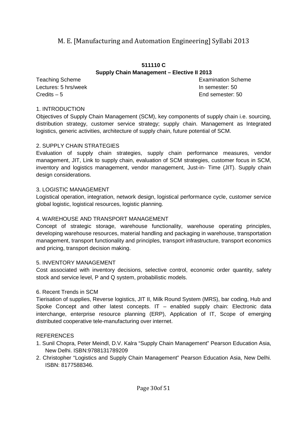#### **511110 C Supply Chain Management – Elective II 2013**

**Teaching Scheme Examination Scheme** Examination Scheme Lectures: 5 hrs/week **In semester: 50** Credits – 5 End semester: 50

#### 1. INTRODUCTION

Objectives of Supply Chain Management (SCM), key components of supply chain i.e. sourcing, distribution strategy, customer service strategy; supply chain. Management as Integrated logistics, generic activities, architecture of supply chain, future potential of SCM.

#### 2. SUPPLY CHAIN STRATEGIES

Evaluation of supply chain strategies, supply chain performance measures, vendor management, JIT, Link to supply chain, evaluation of SCM strategies, customer focus in SCM, inventory and logistics management, vendor management, Just-in- Time (JIT). Supply chain design considerations.

#### 3. LOGISTIC MANAGEMENT

Logistical operation, integration, network design, logistical performance cycle, customer service global logistic, logistical resources, logistic planning.

#### 4. WAREHOUSE AND TRANSPORT MANAGEMENT

Concept of strategic storage, warehouse functionality, warehouse operating principles, developing warehouse resources, material handling and packaging in warehouse, transportation management, transport functionality and principles, transport infrastructure, transport economics and pricing, transport decision making.

#### 5. INVENTORY MANAGEMENT

Cost associated with inventory decisions, selective control, economic order quantity, safety stock and service level, P and Q system, probabilistic models.

#### 6. Recent Trends in SCM

Tierisation of supplies, Reverse logistics, JIT II, Milk Round System (MRS), bar coding, Hub and Spoke Concept and other latest concepts. IT – enabled supply chain: Electronic data interchange, enterprise resource planning (ERP), Application of IT, Scope of emerging distributed cooperative tele-manufacturing over internet.

- 1. Sunil Chopra, Peter Meindl, D.V. Kalra "Supply Chain Management" Pearson Education Asia, New Delhi. ISBN:9788131789209
- 2. Christopher "Logistics and Supply Chain Management" Pearson Education Asia, New Delhi. ISBN: 8177588346.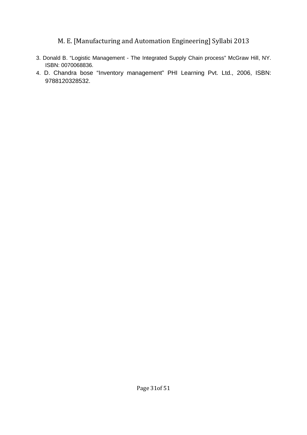- 3. Donald B. "Logistic Management The Integrated Supply Chain process" McGraw Hill, NY. ISBN: 0070068836.
- 4. D. Chandra bose "Inventory management" PHI Learning Pvt. Ltd., 2006, ISBN: 9788120328532.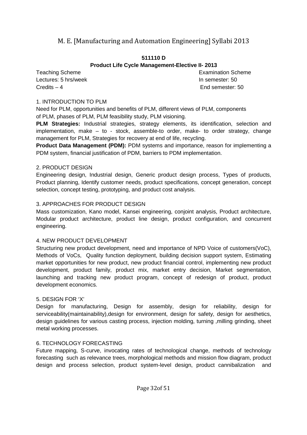#### **511110 D**

### **Product Life Cycle Management-Elective II- 2013**

Teaching Scheme **Examination** Scheme **Examination** Scheme Lectures: 5 hrs/week **In semester: 50** Credits – 4 End semester: 50

#### 1. INTRODUCTION TO PLM

Need for PLM, opportunities and benefits of PLM, different views of PLM, components of PLM, phases of PLM, PLM feasibility study, PLM visioning.

**PLM Strategies:** Industrial strategies, strategy elements, its identification, selection and implementation, make – to - stock, assemble-to order, make- to order strategy, change management for PLM, Strategies for recovery at end of life, recycling.

**Product Data Management (PDM): PDM systems and importance, reason for implementing a** PDM system, financial justification of PDM, barriers to PDM implementation.

#### 2. PRODUCT DESIGN

Engineering design, Industrial design, Generic product design process, Types of products, Product planning, Identify customer needs, product specifications, concept generation, concept selection, concept testing, prototyping, and product cost analysis.

### 3. APPROACHES FOR PRODUCT DESIGN

Mass customization, Kano model, Kansei engineering, conjoint analysis, Product architecture, Modular product architecture, product line design, product configuration, and concurrent engineering.

### 4. NEW PRODUCT DEVELOPMENT

Structuring new product development, need and importance of NPD Voice of customers(VoC), Methods of VoCs, Quality function deployment, building decision support system, Estimating market opportunities for new product, new product financial control, implementing new product development, product family, product mix, market entry decision, Market segmentation, launching and tracking new product program, concept of redesign of product, product development economics.

### 5. DESIGN FOR 'X'

Design for manufacturing, Design for assembly, design for reliability, design for serviceability(maintainability), design for environment, design for safety, design for aesthetics, design guidelines for various casting process, injection molding, turning ,milling grinding, sheet metal working processes.

### 6. TECHNOLOGY FORECASTING

Future mapping, S-curve, invocating rates of technological change, methods of technology forecasting such as relevance trees, morphological methods and mission flow diagram, product design and process selection, product system-level design, product cannibalization and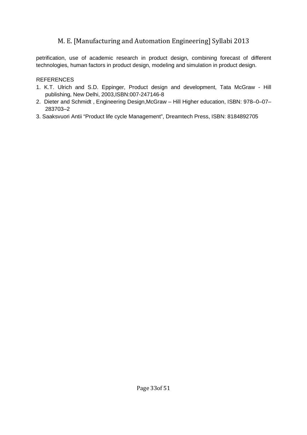petrification, use of academic research in product design, combining forecast of different technologies, human factors in product design, modeling and simulation in product design.

- 1. K.T. Ulrich and S.D. Eppinger, Product design and development, Tata McGraw Hill publishing, New Delhi, 2003,ISBN:007-247146-8
- 2. Dieter and Schmidt , Engineering Design,McGraw Hill Higher education, ISBN: 978–0–07– 283703–2
- 3. Saaksvuori Antii "Product life cycle Management", Dreamtech Press, ISBN: 8184892705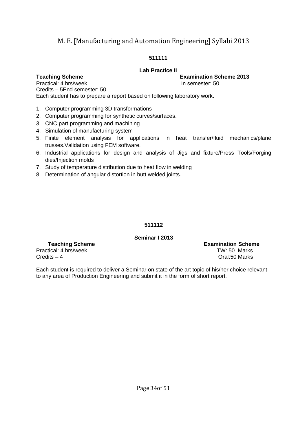#### **511111**

#### **Lab Practice II**

**Teaching Scheme Examination Scheme 2013** 

Practical: 4 hrs/week In semester: 50 Credits – 5End semester: 50 Each student has to prepare a report based on following laboratory work.

- 1. Computer programming 3D transformations
- 2. Computer programming for synthetic curves/surfaces.
- 3. CNC part programming and machining
- 4. Simulation of manufacturing system
- 5. Finite element analysis for applications in heat transfer/fluid mechanics/plane trusses.Validation using FEM software.
- 6. Industrial applications for design and analysis of Jigs and fixture/Press Tools/Forging dies/Injection molds
- 7. Study of temperature distribution due to heat flow in welding
- 8. Determination of angular distortion in butt welded joints.

#### **511112**

#### **Seminar I 2013**

Practical: 4 hrs/week TW: 50 Marks Credits – 4 Oral:50 Marks

**Teaching Scheme Examination Scheme** 

Each student is required to deliver a Seminar on state of the art topic of his/her choice relevant to any area of Production Engineering and submit it in the form of short report.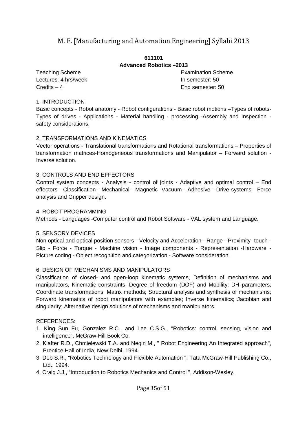#### **611101 Advanced Robotics –2013**

Lectures: 4 hrs/week **In semester: 50** Credits – 4 End semester: 50

Teaching Scheme **Examination** Scheme **Examination** Scheme

#### 1. INTRODUCTION

Basic concepts - Robot anatomy - Robot configurations - Basic robot motions –Types of robots-Types of drives - Applications - Material handling - processing -Assembly and Inspection safety considerations.

#### 2. TRANSFORMATIONS AND KINEMATICS

Vector operations - Translational transformations and Rotational transformations – Properties of transformation matrices-Homogeneous transformations and Manipulator – Forward solution - Inverse solution.

#### 3. CONTROLS AND END EFFECTORS

Control system concepts - Analysis - control of joints - Adaptive and optimal control – End effectors - Classification - Mechanical - Magnetic -Vacuum - Adhesive - Drive systems - Force analysis and Gripper design.

#### 4. ROBOT PROGRAMMING

Methods - Languages -Computer control and Robot Software - VAL system and Language.

#### 5. SENSORY DEVICES

Non optical and optical position sensors - Velocity and Acceleration - Range - Proximity -touch - Slip - Force - Torque - Machine vision - Image components - Representation -Hardware - Picture coding - Object recognition and categorization - Software consideration.

#### 6. DESIGN OF MECHANISMS AND MANIPULATORS

Classification of closed- and open-loop kinematic systems, Definition of mechanisms and manipulators, Kinematic constraints, Degree of freedom (DOF) and Mobility; DH parameters, Coordinate transformations, Matrix methods; Structural analysis and synthesis of mechanisms; Forward kinematics of robot manipulators with examples; Inverse kinematics; Jacobian and singularity; Alternative design solutions of mechanisms and manipulators.

- 1. King Sun Fu, Gonzalez R.C., and Lee C.S.G., "Robotics: control, sensing, vision and intelligence", McGraw-Hill Book Co.
- 2. Klafter R.D., Chmielewski T.A. and Negin M., " Robot Engineering An Integrated approach", Prentice Hall of India, New Delhi, 1994.
- 3. Deb S.R., "Robotics Technology and Flexible Automation ", Tata McGraw-Hill Publishing Co., Ltd., 1994.
- 4. Craig J.J., "Introduction to Robotics Mechanics and Control ", Addison-Wesley.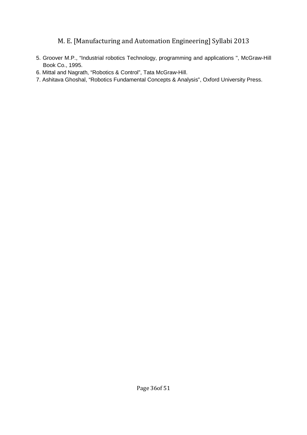- 5. Groover M.P., "Industrial robotics Technology, programming and applications ", McGraw-Hill Book Co., 1995.
- 6. Mittal and Nagrath, "Robotics & Control", Tata McGraw-Hill.
- 7. Ashitava Ghoshal, "Robotics Fundamental Concepts & Analysis", Oxford University Press.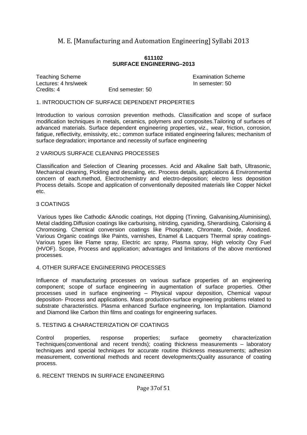#### **611102 SURFACE ENGINEERING–2013**

Teaching Scheme Examination Scheme Lectures: 4 hrs/week **In semester: 50** Credits: 4 End semester: 50

#### 1. INTRODUCTION OF SURFACE DEPENDENT PROPERTIES

Introduction to various corrosion prevention methods. Classification and scope of surface modification techniques in metals, ceramics, polymers and composites.Tailoring of surfaces of advanced materials. Surface dependent engineering properties, viz., wear, friction, corrosion, fatigue, reflectivity, emissivity, etc.; common surface initiated engineering failures; mechanism of surface degradation; importance and necessity of surface engineering

#### 2 VARIOUS SURFACE CLEANING PROCESSES

Classification and Selection of Cleaning processes. Acid and Alkaline Salt bath, Ultrasonic, Mechanical cleaning, Pickling and descaling, etc. Process details, applications & Environmental concern of each.method, Electrochemistry and electro-deposition; electro less deposition Process details. Scope and application of conventionally deposited materials like Copper Nickel etc.

#### 3 COATINGS

 Various types like Cathodic &Anodic coatings, Hot dipping (Tinning, Galvanising,Aluminising), Metal cladding.Diffusion coatings like carburising, nitriding, cyaniding, Sherardising, Calorising & Chromosing. Chemical conversion coatings like Phosphate, Chromate, Oxide, Anodized. Various Organic coatings like Paints, varnishes, Enamel & Lacquers Thermal spray coatings-Various types like Flame spray, Electric arc spray, Plasma spray, High velocity Oxy Fuel (HVOF). Scope, Process and application; advantages and limitations of the above mentioned processes.

#### 4. OTHER SURFACE ENGINEERING PROCESSES

Influence of manufacturing processes on various surface properties of an engineering component; scope of surface engineering in augmentation of surface properties. Other processes used in surface engineering – Physical vapour deposition, Chemical vapour deposition- Process and applications. Mass production-surface engineering problems related to substrate characteristics. Plasma enhanced Surface engineering, Ion Implantation. Diamond and Diamond like Carbon thin films and coatings for engineering surfaces.

#### 5. TESTING & CHARACTERIZATION OF COATINGS

Control properties, response properties; surface geometry characterization Techniques(conventional and recent trends); coating thickness measurements – laboratory techniques and special techniques for accurate routine thickness measurements; adhesion measurement, conventional methods and recent developments;Quality assurance of coating process.

#### 6. RECENT TRENDS IN SURFACE ENGINEERING

#### Page 37of 51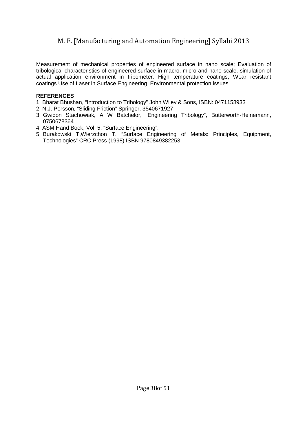Measurement of mechanical properties of engineered surface in nano scale; Evaluation of tribological characteristics of engineered surface in macro, micro and nano scale, simulation of actual application environment in tribometer. High temperature coatings, Wear resistant coatings Use of Laser in Surface Engineering, Environmental protection issues.

- 1. Bharat Bhushan, "Introduction to Tribology" John Wiley & Sons, ISBN: 0471158933
- 2. N.J. Persson, "Sliding Friction" Springer, 3540671927
- 3. Gwidon Stachowiak, A W Batchelor, "Engineering Tribology", Butterworth-Heinemann, 0750678364
- 4. ASM Hand Book, Vol. 5, "Surface Engineering".
- 5. Burakowski T,Wierzchon T. "Surface Engineering of Metals: Principles, Equipment, Technologies" CRC Press (1998) ISBN 9780849382253.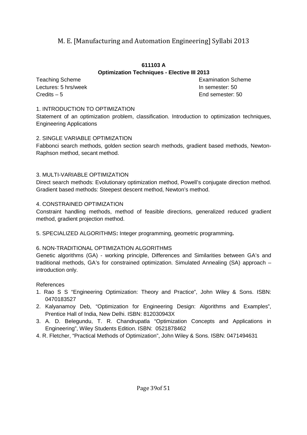#### **611103 A Optimization Techniques - Elective III 2013**

Lectures: 5 hrs/week **In semester: 50** Credits – 5 End semester: 50

**Teaching Scheme Examination Scheme** Examination Scheme

#### 1. INTRODUCTION TO OPTIMIZATION

Statement of an optimization problem, classification. Introduction to optimization techniques, Engineering Applications

#### 2. SINGLE VARIABLE OPTIMIZATION

Fabbonci search methods, golden section search methods, gradient based methods, Newton-Raphson method, secant method.

#### 3. MULTI-VARIABLE OPTIMIZATION

Direct search methods: Evolutionary optimization method, Powell's conjugate direction method. Gradient based methods: Steepest descent method, Newton's method.

#### 4. CONSTRAINED OPTIMIZATION

Constraint handling methods, method of feasible directions, generalized reduced gradient method, gradient projection method.

5. SPECIALIZED ALGORITHMS**:** Integer programming, geometric programming**.** 

#### 6. NON-TRADITIONAL OPTIMIZATION ALGORITHMS

Genetic algorithms (GA) - working principle, Differences and Similarities between GA's and traditional methods, GA's for constrained optimization. Simulated Annealing (SA) approach – introduction only.

#### References

- 1. Rao S S "Engineering Optimization: Theory and Practice", John Wiley & Sons. ISBN: 0470183527
- 2. Kalyanamoy Deb, "Optimization for Engineering Design: Algorithms and Examples", Prentice Hall of India, New Delhi. ISBN: 812030943X
- 3. A. D. Belegundu, T. R. Chandrupatla "Optimization Concepts and Applications in Engineering", Wiley Students Edition. ISBN: 0521878462
- 4. R. Fletcher, "Practical Methods of Optimization", John Wiley & Sons. ISBN: 0471494631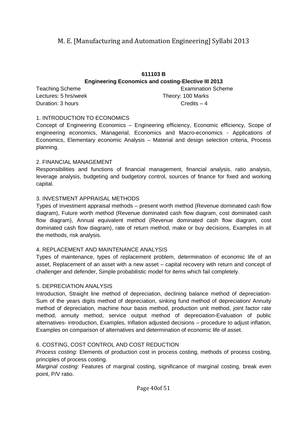#### **611103 B Engineering Economics and costing-Elective III 2013** Teaching Scheme **Examination** Scheme **Examination** Scheme

Lectures: 5 hrs/week Theory: 100 Marks Duration: 3 hours Credits – 4

#### 1. INTRODUCTION TO ECONOMICS

Concept of Engineering Economics – Engineering efficiency, Economic efficiency, Scope of engineering economics, Managerial, Economics and Macro-economics - Applications of Economics, Elementary economic Analysis – Material and design selection criteria, Process planning.

#### 2. FINANCIAL MANAGEMENT

Responsibilities and functions of financial management, financial analysis, ratio analysis, leverage analysis, budgeting and budgetory control, sources of finance for fixed and working capital.

#### 3. INVESTMENT APPRAISAL METHODS

Types of investment appraisal methods – present worth method (Revenue dominated cash flow diagram), Future worth method (Revenue dominated cash flow diagram, cost dominated cash flow diagram), Annual equivalent method (Revenue dominated cash flow diagram, cost dominated cash flow diagram), rate of return method, make or buy decisions, Examples in all the methods, risk analysis.

#### 4. REPLACEMENT AND MAINTENANCE ANALYSIS

Types of maintenance, types of replacement problem, determination of economic life of an asset, Replacement of an asset with a new asset – capital recovery with return and concept of challenger and defender, Simple probabilistic model for items which fail completely.

#### 5. DEPRECIATION ANALYSIS

Introduction, Straight line method of depreciation, declining balance method of depreciation-Sum of the years digits method of depreciation, sinking fund method of depreciation/ Annuity method of depreciation, machine hour basis method, production unit method, joint factor rate method, annuity method, service output method of depreciation-Evaluation of public alternatives- introduction, Examples, Inflation adjusted decisions – procedure to adjust inflation, Examples on comparison of alternatives and determination of economic life of asset.

#### 6. COSTING, COST CONTROL AND COST REDUCTION

Process costing: Elements of production cost in process costing, methods of process costing, principles of process costing.

Marginal costing: Features of marginal costing, significance of marginal costing, break even point, P/V ratio.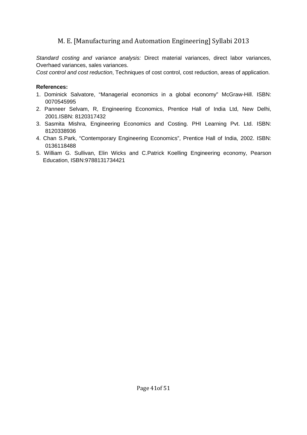Standard costing and variance analysis: Direct material variances, direct labor variances, Overhaed variances, sales variances.

Cost control and cost reduction, Techniques of cost control, cost reduction, areas of application.

#### **References:**

- 1. Dominick Salvatore, "Managerial economics in a global economy" McGraw-Hill. ISBN: 0070545995
- 2. Panneer Selvam, R, Engineering Economics, Prentice Hall of India Ltd, New Delhi, 2001.ISBN: 8120317432
- 3. Sasmita Mishra, Engineering Economics and Costing. PHI Learning Pvt. Ltd. ISBN: 8120338936
- 4. Chan S.Park, "Contemporary Engineering Economics", Prentice Hall of India, 2002. ISBN: 0136118488
- 5. William G. Sullivan, Elin Wicks and C.Patrick Koelling Engineering economy, Pearson Education, ISBN:9788131734421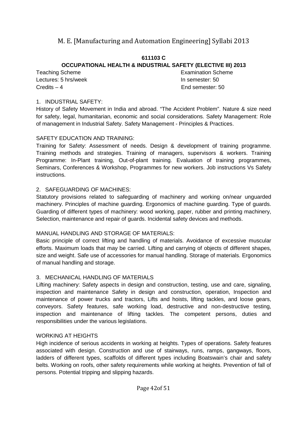#### **611103 C OCCUPATIONAL HEALTH & INDUSTRIAL SAFETY (ELECTIVE III) 2013**

Lectures: 5 hrs/week **In semester: 50** Credits – 4 End semester: 50

Teaching Scheme **Examination** Scheme

#### 1. INDUSTRIAL SAFETY:

History of Safety Movement in India and abroad. "The Accident Problem". Nature & size need for safety, legal, humanitarian, economic and social considerations. Safety Management: Role of management in Industrial Safety. Safety Management - Principles & Practices.

#### SAFETY EDUCATION AND TRAINING:

Training for Safety: Assessment of needs. Design & development of training programme. Training methods and strategies. Training of managers, supervisors & workers. Training Programme: In-Plant training, Out-of-plant training. Evaluation of training programmes, Seminars, Conferences & Workshop, Programmes for new workers. Job instructions Vs Safety instructions.

#### 2. SAFEGUARDING OF MACHINES:

Statutory provisions related to safeguarding of machinery and working on/near unguarded machinery. Principles of machine guarding. Ergonomics of machine guarding. Type of guards. Guarding of different types of machinery: wood working, paper, rubber and printing machinery, Selection, maintenance and repair of guards. Incidental safety devices and methods.

#### MANUAL HANDLING AND STORAGE OF MATERIALS:

Basic principle of correct lifting and handling of materials. Avoidance of excessive muscular efforts. Maximum loads that may be carried. Lifting and carrying of objects of different shapes, size and weight. Safe use of accessories for manual handling. Storage of materials. Ergonomics of manual handling and storage.

#### 3. MECHANICAL HANDLING OF MATERIALS

Lifting machinery: Safety aspects in design and construction, testing, use and care, signaling, inspection and maintenance Safety in design and construction, operation, Inspection and maintenance of power trucks and tractors, Lifts and hoists, lifting tackles, and loose gears, conveyors. Safety features, safe working load, destructive and non-destructive testing, inspection and maintenance of lifting tackles. The competent persons, duties and responsibilities under the various legislations.

#### WORKING AT HEIGHTS

High incidence of serious accidents in working at heights. Types of operations. Safety features associated with design. Construction and use of stairways, runs, ramps, gangways, floors, ladders of different types, scaffolds of different types including Boatswain's chair and safety belts. Working on roofs, other safety requirements while working at heights. Prevention of fall of persons. Potential tripping and slipping hazards.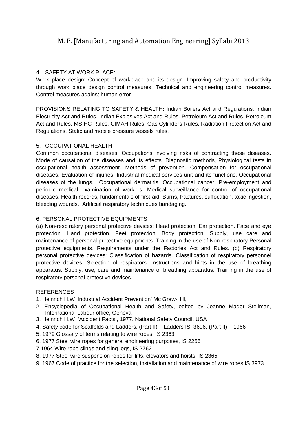#### 4. SAFETY AT WORK PLACE:-

Work place design: Concept of workplace and its design. Improving safety and productivity through work place design control measures. Technical and engineering control measures. Control measures against human error

PROVISIONS RELATING TO SAFETY & HEALTH**:** Indian Boilers Act and Regulations. Indian Electricity Act and Rules. Indian Explosives Act and Rules. Petroleum Act and Rules. Petroleum Act and Rules, MSIHC Rules, CIMAH Rules, Gas Cylinders Rules. Radiation Protection Act and Regulations. Static and mobile pressure vessels rules.

#### 5. OCCUPATIONAL HEALTH

Common occupational diseases. Occupations involving risks of contracting these diseases. Mode of causation of the diseases and its effects. Diagnostic methods, Physiological tests in occupational health assessment. Methods of prevention. Compensation for occupational diseases. Evaluation of injuries. Industrial medical services unit and its functions. Occupational diseases of the lungs. Occupational dermatitis. Occupational cancer. Pre-employment and periodic medical examination of workers. Medical surveillance for control of occupational diseases. Health records, fundamentals of first-aid. Burns, fractures, suffocation, toxic ingestion, bleeding wounds. Artificial respiratory techniques bandaging.

#### 6. PERSONAL PROTECTIVE EQUIPMENTS

(a) Non-respiratory personal protective devices: Head protection. Ear protection. Face and eye protection. Hand protection. Feet protection. Body protection. Supply, use care and maintenance of personal protective equipments. Training in the use of Non-respiratory Personal protective equipments, Requirements under the Factories Act and Rules. (b) Respiratory personal protective devices: Classification of hazards. Classification of respiratory personnel protective devices. Selection of respirators. Instructions and hints in the use of breathing apparatus. Supply, use, care and maintenance of breathing apparatus. Training in the use of respiratory personal protective devices.

- 1. Heinrich H.W 'Industrial Accident Prevention' Mc Graw-Hill,
- 2. Encyclopedia of Occupational Health and Safety, edited by Jeanne Mager Stellman, International Labour office, Geneva
- 3. Heinrich H.W 'Accident Facts', 1977. National Safety Council, USA
- 4. Safety code for Scaffolds and Ladders, (Part II) Ladders IS: 3696, (Part II) 1966
- 5. 1979 Glossary of terms relating to wire ropes, IS 2363
- 6. 1977 Steel wire ropes for general engineering purposes, IS 2266
- 7.1964 Wire rope slings and sling legs, IS 2762
- 8. 1977 Steel wire suspension ropes for lifts, elevators and hoists, IS 2365
- 9. 1967 Code of practice for the selection, installation and maintenance of wire ropes IS 3973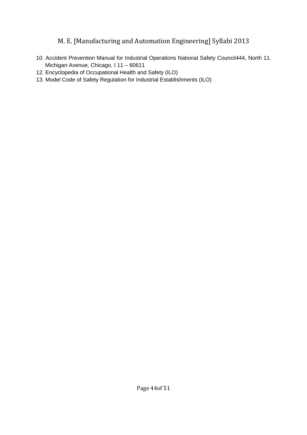- 10. Accident Prevention Manual for Industrial Operations National Safety Council444, North 11. Michigan Avenue, Chicago, I 11 – 60611
- 12. Encyclopedia of Occupational Health and Safety (ILO)
- 13. Model Code of Safety Regulation for Industrial Establishments (ILO)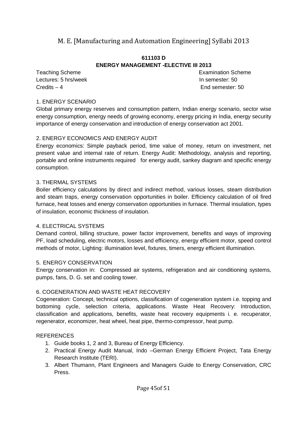#### **611103 D ENERGY MANAGEMENT -ELECTIVE III 2013**

Lectures: 5 hrs/week **In semester: 50** Credits – 4 End semester: 50

Teaching Scheme **Examination** Scheme

#### 1. ENERGY SCENARIO

Global primary energy reserves and consumption pattern, Indian energy scenario, sector wise energy consumption, energy needs of growing economy, energy pricing in India, energy security importance of energy conservation and introduction of energy conservation act 2001.

#### 2. ENERGY ECONOMICS AND ENERGY AUDIT

Energy economics: Simple payback period, time value of money, return on investment, net present value and internal rate of return. Energy Audit: Methodology, analysis and reporting, portable and online instruments required for energy audit, sankey diagram and specific energy consumption.

#### 3. THERMAL SYSTEMS

Boiler efficiency calculations by direct and indirect method, various losses, steam distribution and steam traps, energy conservation opportunities in boiler. Efficiency calculation of oil fired furnace, heat losses and energy conservation opportunities in furnace. Thermal insulation, types of insulation, economic thickness of insulation.

#### 4. ELECTRICAL SYSTEMS

Demand control, billing structure, power factor improvement, benefits and ways of improving PF, load scheduling, electric motors, losses and efficiency, energy efficient motor, speed control methods of motor, Lighting: illumination level, fixtures, timers, energy efficient illumination.

#### 5. ENERGY CONSERVATION

Energy conservation in: Compressed air systems, refrigeration and air conditioning systems, pumps, fans, D. G. set and cooling tower.

#### 6. COGENERATION AND WASTE HEAT RECOVERY

Cogeneration: Concept, technical options, classification of cogeneration system i.e. topping and bottoming cycle, selection criteria, applications. Waste Heat Recovery: Introduction, classification and applications, benefits, waste heat recovery equipments i. e. recuperator, regenerator, economizer, heat wheel, heat pipe, thermo-compressor, heat pump.

- 1. Guide books 1, 2 and 3, Bureau of Energy Efficiency.
- 2. Practical Energy Audit Manual, Indo –German Energy Efficient Project, Tata Energy Research Institute (TERI).
- 3. Albert Thumann, Plant Engineers and Managers Guide to Energy Conservation, CRC Press.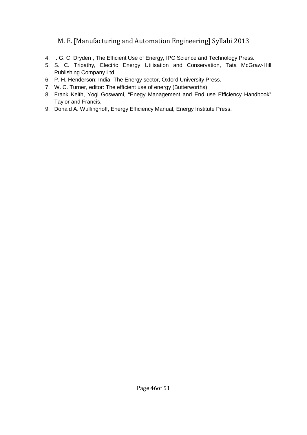- 4. I. G. C. Dryden , The Efficient Use of Energy, IPC Science and Technology Press.
- 5. S. C. Tripathy, Electric Energy Utilisation and Conservation, Tata McGraw-Hill Publishing Company Ltd.
- 6. P. H. Henderson: India- The Energy sector, Oxford University Press.
- 7. W. C. Turner, editor: The efficient use of energy (Butterworths)
- 8. Frank Keith, Yogi Goswami, "Enegy Management and End use Efficiency Handbook" Taylor and Francis.
- 9. Donald A. Wulfinghoff, Energy Efficiency Manual, Energy Institute Press.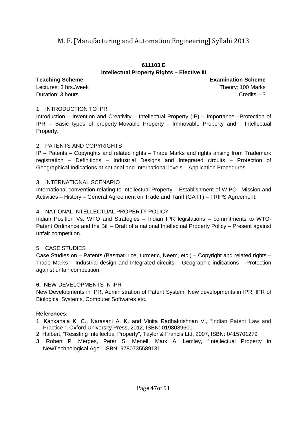#### **611103 E Intellectual Property Rights – Elective III**

Lectures: 3 hrs./week Theory: 100 Marks Duration: 3 hours Credits – 3

**Teaching Scheme Examination Scheme**

#### 1. INTRODUCTION TO IPR

Introduction – Invention and Creativity – Intellectual Property (IP) – Importance –Protection of IPR – Basic types of property-Movable Property - Immovable Property and - Intellectual Property.

#### 2. PATENTS AND COPYRIGHTS

IP – Patents – Copyrights and related rights – Trade Marks and rights arising from Trademark registration – Definitions – Industrial Designs and Integrated circuits – Protection of Geographical Indications at national and International levels – Application Procedures.

#### 3. INTERNATIONAL SCENARIO

International convention relating to Intellectual Property – Establishment of WIPO –Mission and Activities – History – General Agreement on Trade and Tariff (GATT) – TRIPS Agreement.

#### 4. NATIONAL INTELLECTUAL PROPERTY POLICY

Indian Position Vs. WTO and Strategies – Indian IPR legislations – commitments to WTO-Patent Ordinance and the Bill – Draft of a national Intellectual Property Policy – Present against unfair competition.

#### 5. CASE STUDIES

Case Studies on – Patents (Basmati rice, turmeric, Neem, etc.) – Copyright and related rights – Trade Marks – Industrial design and Integrated circuits – Geographic indications – Protection against unfair competition.

#### **6.** NEW DEVELOPMENTS IN IPR

New Developments in IPR, Administration of Patent System. New developments in IPR; IPR of Biological Systems, Computer Softwares etc.

#### **References:**

- 1. Kankanala K. C., Narasani A. K. and Vinita Radhakrishnan V., "Indian Patent Law and Practice ", Oxford University Press, 2012, ISBN: 0198089600
- 2. Halbert, "Resisting Intellectual Property", Taylor & Francis Ltd, 2007, ISBN: 0415701279
- 3. Robert P. Merges, Peter S. Menell, Mark A. Lemley, "Intellectual Property in NewTechnological Age". ISBN: 9780735589131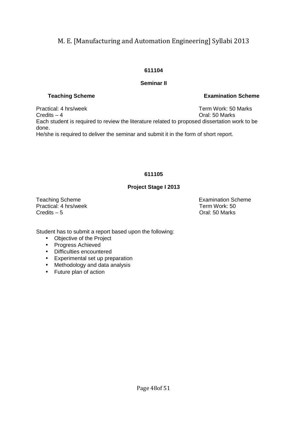#### **611104**

#### **Seminar II**

Practical: 4 hrs/week Term Work: 50 Marks Credits – 4 Oral: 50 Marks Each student is required to review the literature related to proposed dissertation work to be done. He/she is required to deliver the seminar and submit it in the form of short report.

#### **611105**

#### **Project Stage I 2013**

Practical: 4 hrs/week Term Work: 50<br>Credits – 5 Credits – 5

Teaching Scheme **Examination** Scheme **Examination** Scheme Oral: 50 Marks

Student has to submit a report based upon the following:

- Objective of the Project
- Progress Achieved
- Difficulties encountered
- Experimental set up preparation
- Methodology and data analysis
- Future plan of action

**Teaching Scheme Examination Scheme**